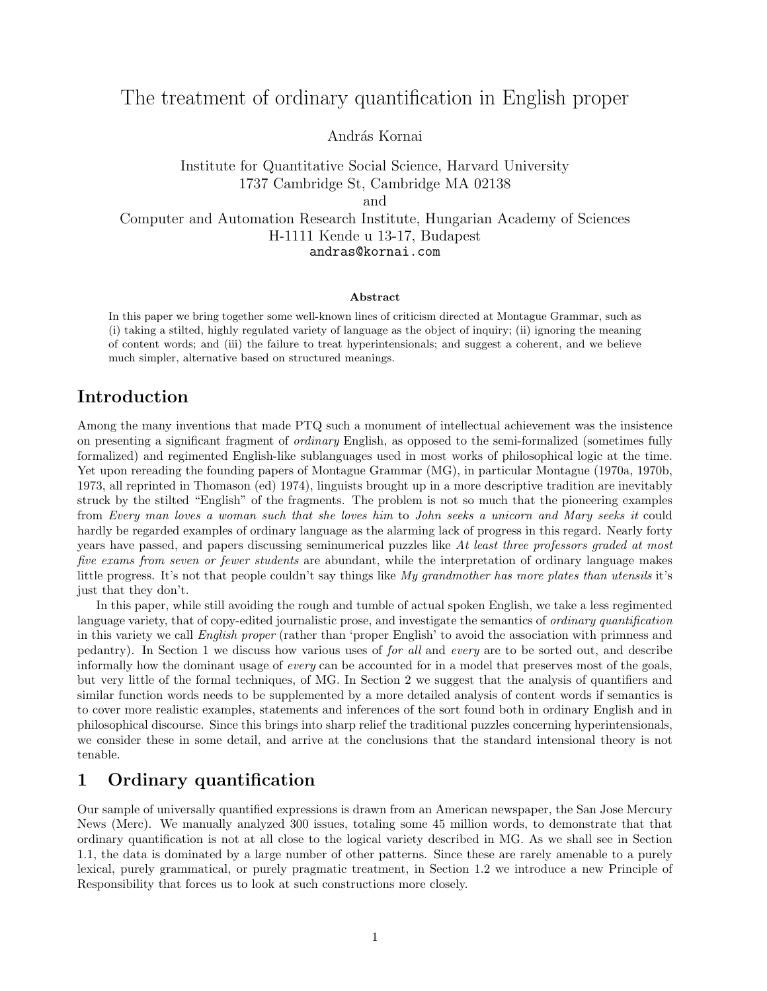# The treatment of ordinary quantification in English proper

András Kornai

Institute for Quantitative Social Science, Harvard University 1737 Cambridge St, Cambridge MA 02138 and Computer and Automation Research Institute, Hungarian Academy of Sciences H-1111 Kende u 13-17, Budapest

andras@kornai.com

#### Abstract

In this paper we bring together some well-known lines of criticism directed at Montague Grammar, such as (i) taking a stilted, highly regulated variety of language as the object of inquiry; (ii) ignoring the meaning of content words; and (iii) the failure to treat hyperintensionals; and suggest a coherent, and we believe much simpler, alternative based on structured meanings.

# Introduction

Among the many inventions that made PTQ such a monument of intellectual achievement was the insistence on presenting a significant fragment of ordinary English, as opposed to the semi-formalized (sometimes fully formalized) and regimented English-like sublanguages used in most works of philosophical logic at the time. Yet upon rereading the founding papers of Montague Grammar (MG), in particular Montague (1970a, 1970b, 1973, all reprinted in Thomason (ed) 1974), linguists brought up in a more descriptive tradition are inevitably struck by the stilted "English" of the fragments. The problem is not so much that the pioneering examples from Every man loves a woman such that she loves him to John seeks a unicorn and Mary seeks it could hardly be regarded examples of ordinary language as the alarming lack of progress in this regard. Nearly forty years have passed, and papers discussing seminumerical puzzles like At least three professors graded at most five exams from seven or fewer students are abundant, while the interpretation of ordinary language makes little progress. It's not that people couldn't say things like My grandmother has more plates than utensils it's just that they don't.

In this paper, while still avoiding the rough and tumble of actual spoken English, we take a less regimented language variety, that of copy-edited journalistic prose, and investigate the semantics of ordinary quantification in this variety we call English proper (rather than 'proper English' to avoid the association with primness and pedantry). In Section 1 we discuss how various uses of for all and every are to be sorted out, and describe informally how the dominant usage of *every* can be accounted for in a model that preserves most of the goals, but very little of the formal techniques, of MG. In Section 2 we suggest that the analysis of quantifiers and similar function words needs to be supplemented by a more detailed analysis of content words if semantics is to cover more realistic examples, statements and inferences of the sort found both in ordinary English and in philosophical discourse. Since this brings into sharp relief the traditional puzzles concerning hyperintensionals, we consider these in some detail, and arrive at the conclusions that the standard intensional theory is not tenable.

# 1 Ordinary quantification

Our sample of universally quantified expressions is drawn from an American newspaper, the San Jose Mercury News (Merc). We manually analyzed 300 issues, totaling some 45 million words, to demonstrate that that ordinary quantification is not at all close to the logical variety described in MG. As we shall see in Section 1.1, the data is dominated by a large number of other patterns. Since these are rarely amenable to a purely lexical, purely grammatical, or purely pragmatic treatment, in Section 1.2 we introduce a new Principle of Responsibility that forces us to look at such constructions more closely.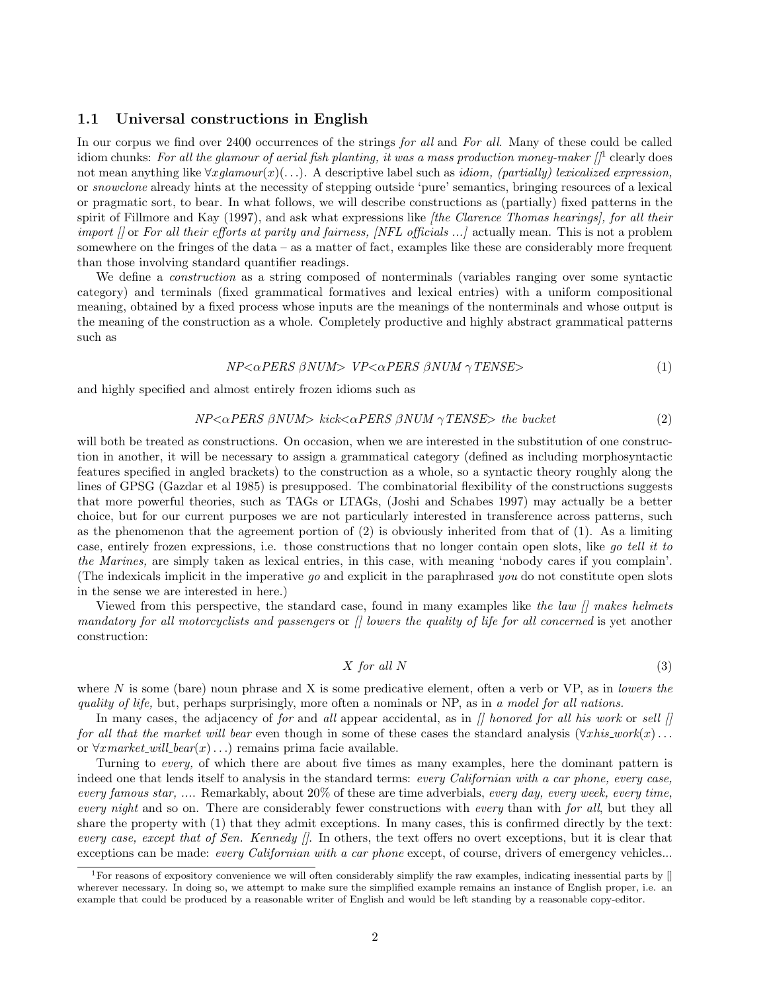### 1.1 Universal constructions in English

In our corpus we find over 2400 occurrences of the strings for all and For all. Many of these could be called idiom chunks: For all the glamour of aerial fish planting, it was a mass production money-maker  $\int$ <sup>1</sup> clearly does not mean anything like  $\forall xglamour(x)(...)$ . A descriptive label such as *idiom, (partially) lexicalized expression*, or snowclone already hints at the necessity of stepping outside 'pure' semantics, bringing resources of a lexical or pragmatic sort, to bear. In what follows, we will describe constructions as (partially) fixed patterns in the spirit of Fillmore and Kay (1997), and ask what expressions like *fthe Clarence Thomas hearings*, for all their import  $\beta$  or For all their efforts at parity and fairness, *[NFL officials ...]* actually mean. This is not a problem somewhere on the fringes of the data – as a matter of fact, examples like these are considerably more frequent than those involving standard quantifier readings.

We define a *construction* as a string composed of nonterminals (variables ranging over some syntactic category) and terminals (fixed grammatical formatives and lexical entries) with a uniform compositional meaning, obtained by a fixed process whose inputs are the meanings of the nonterminals and whose output is the meaning of the construction as a whole. Completely productive and highly abstract grammatical patterns such as

$$
NP < \alpha PERS \beta NUM > VP < \alpha PERS \beta NUM \gamma TENSE >
$$
\n<sup>(1)</sup>

and highly specified and almost entirely frozen idioms such as

$$
NP \leq \alpha PERS \beta NUM > kick \leq \alpha PERS \beta NUM \gamma TENSE > the bucket
$$
 (2)

will both be treated as constructions. On occasion, when we are interested in the substitution of one construction in another, it will be necessary to assign a grammatical category (defined as including morphosyntactic features specified in angled brackets) to the construction as a whole, so a syntactic theory roughly along the lines of GPSG (Gazdar et al 1985) is presupposed. The combinatorial flexibility of the constructions suggests that more powerful theories, such as TAGs or LTAGs, (Joshi and Schabes 1997) may actually be a better choice, but for our current purposes we are not particularly interested in transference across patterns, such as the phenomenon that the agreement portion of  $(2)$  is obviously inherited from that of  $(1)$ . As a limiting case, entirely frozen expressions, i.e. those constructions that no longer contain open slots, like go tell it to the Marines, are simply taken as lexical entries, in this case, with meaning 'nobody cares if you complain'. (The indexicals implicit in the imperative go and explicit in the paraphrased you do not constitute open slots in the sense we are interested in here.)

Viewed from this perspective, the standard case, found in many examples like the law  $\int$  makes helmets mandatory for all motorcyclists and passengers or  $\beta$  lowers the quality of life for all concerned is yet another construction:

$$
X \text{ for all } N \tag{3}
$$

where N is some (bare) noun phrase and X is some predicative element, often a verb or  $VP$ , as in lowers the quality of life, but, perhaps surprisingly, more often a nominals or NP, as in a model for all nations.

In many cases, the adjacency of for and all appear accidental, as in  $\beta$  honored for all his work or sell  $\beta$ for all that the market will bear even though in some of these cases the standard analysis  $(\forall x his_work(x) \dots$ or  $\forall x \text{ market\_will}$  bear $(x)$ ...) remains prima facie available.

Turning to every, of which there are about five times as many examples, here the dominant pattern is indeed one that lends itself to analysis in the standard terms: every Californian with a car phone, every case, every famous star, .... Remarkably, about 20% of these are time adverbials, every day, every week, every time, every night and so on. There are considerably fewer constructions with every than with for all, but they all share the property with (1) that they admit exceptions. In many cases, this is confirmed directly by the text: every case, except that of Sen. Kennedy  $\beta$ . In others, the text offers no overt exceptions, but it is clear that exceptions can be made: every Californian with a car phone except, of course, drivers of emergency vehicles...

<sup>&</sup>lt;sup>1</sup>For reasons of expository convenience we will often considerably simplify the raw examples, indicating inessential parts by  $\parallel$ wherever necessary. In doing so, we attempt to make sure the simplified example remains an instance of English proper, i.e. an example that could be produced by a reasonable writer of English and would be left standing by a reasonable copy-editor.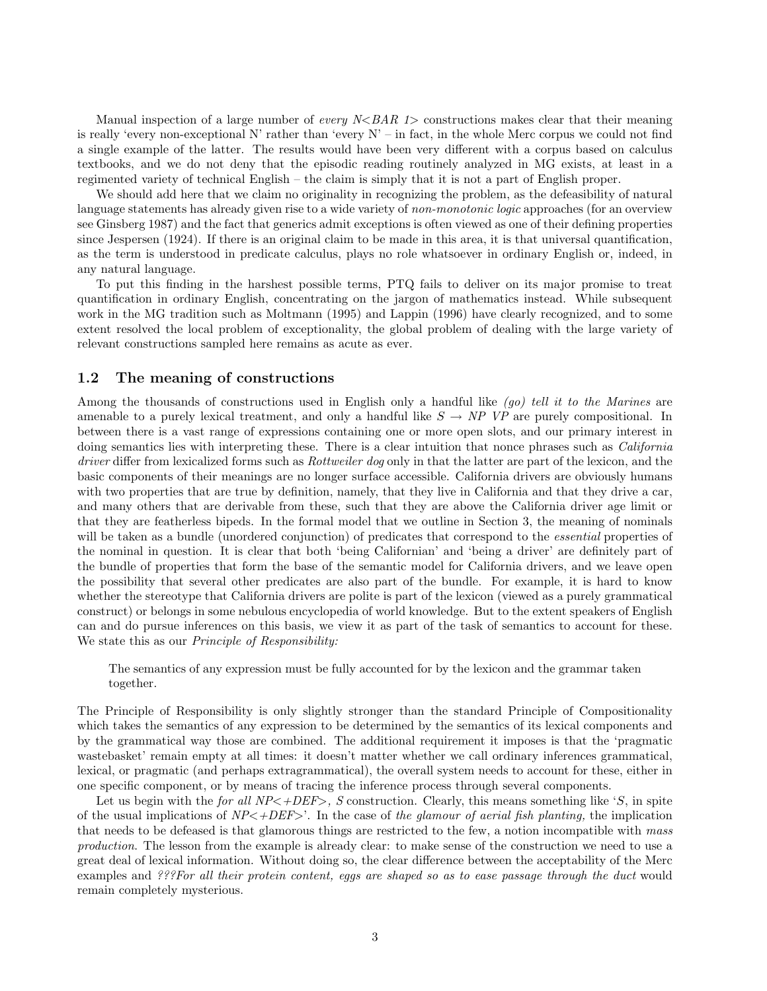Manual inspection of a large number of *every N<BAR 1>* constructions makes clear that their meaning is really 'every non-exceptional N' rather than 'every  $N'$  – in fact, in the whole Merc corpus we could not find a single example of the latter. The results would have been very different with a corpus based on calculus textbooks, and we do not deny that the episodic reading routinely analyzed in MG exists, at least in a regimented variety of technical English – the claim is simply that it is not a part of English proper.

We should add here that we claim no originality in recognizing the problem, as the defeasibility of natural language statements has already given rise to a wide variety of non-monotonic logic approaches (for an overview see Ginsberg 1987) and the fact that generics admit exceptions is often viewed as one of their defining properties since Jespersen (1924). If there is an original claim to be made in this area, it is that universal quantification, as the term is understood in predicate calculus, plays no role whatsoever in ordinary English or, indeed, in any natural language.

To put this finding in the harshest possible terms, PTQ fails to deliver on its major promise to treat quantification in ordinary English, concentrating on the jargon of mathematics instead. While subsequent work in the MG tradition such as Moltmann (1995) and Lappin (1996) have clearly recognized, and to some extent resolved the local problem of exceptionality, the global problem of dealing with the large variety of relevant constructions sampled here remains as acute as ever.

### 1.2 The meaning of constructions

Among the thousands of constructions used in English only a handful like (go) tell it to the Marines are amenable to a purely lexical treatment, and only a handful like  $S \to NP$  VP are purely compositional. In between there is a vast range of expressions containing one or more open slots, and our primary interest in doing semantics lies with interpreting these. There is a clear intuition that nonce phrases such as *California* driver differ from lexicalized forms such as *Rottweiler dog* only in that the latter are part of the lexicon, and the basic components of their meanings are no longer surface accessible. California drivers are obviously humans with two properties that are true by definition, namely, that they live in California and that they drive a car, and many others that are derivable from these, such that they are above the California driver age limit or that they are featherless bipeds. In the formal model that we outline in Section 3, the meaning of nominals will be taken as a bundle (unordered conjunction) of predicates that correspond to the *essential* properties of the nominal in question. It is clear that both 'being Californian' and 'being a driver' are definitely part of the bundle of properties that form the base of the semantic model for California drivers, and we leave open the possibility that several other predicates are also part of the bundle. For example, it is hard to know whether the stereotype that California drivers are polite is part of the lexicon (viewed as a purely grammatical construct) or belongs in some nebulous encyclopedia of world knowledge. But to the extent speakers of English can and do pursue inferences on this basis, we view it as part of the task of semantics to account for these. We state this as our *Principle of Responsibility:* 

The semantics of any expression must be fully accounted for by the lexicon and the grammar taken together.

The Principle of Responsibility is only slightly stronger than the standard Principle of Compositionality which takes the semantics of any expression to be determined by the semantics of its lexical components and by the grammatical way those are combined. The additional requirement it imposes is that the 'pragmatic wastebasket' remain empty at all times: it doesn't matter whether we call ordinary inferences grammatical, lexical, or pragmatic (and perhaps extragrammatical), the overall system needs to account for these, either in one specific component, or by means of tracing the inference process through several components.

Let us begin with the *for all NP<+DEF>, S* construction. Clearly, this means something like 'S, in spite of the usual implications of  $NP<+DEF>$ . In the case of the glamour of aerial fish planting, the implication that needs to be defeased is that glamorous things are restricted to the few, a notion incompatible with mass production. The lesson from the example is already clear: to make sense of the construction we need to use a great deal of lexical information. Without doing so, the clear difference between the acceptability of the Merc examples and ???For all their protein content, eggs are shaped so as to ease passage through the duct would remain completely mysterious.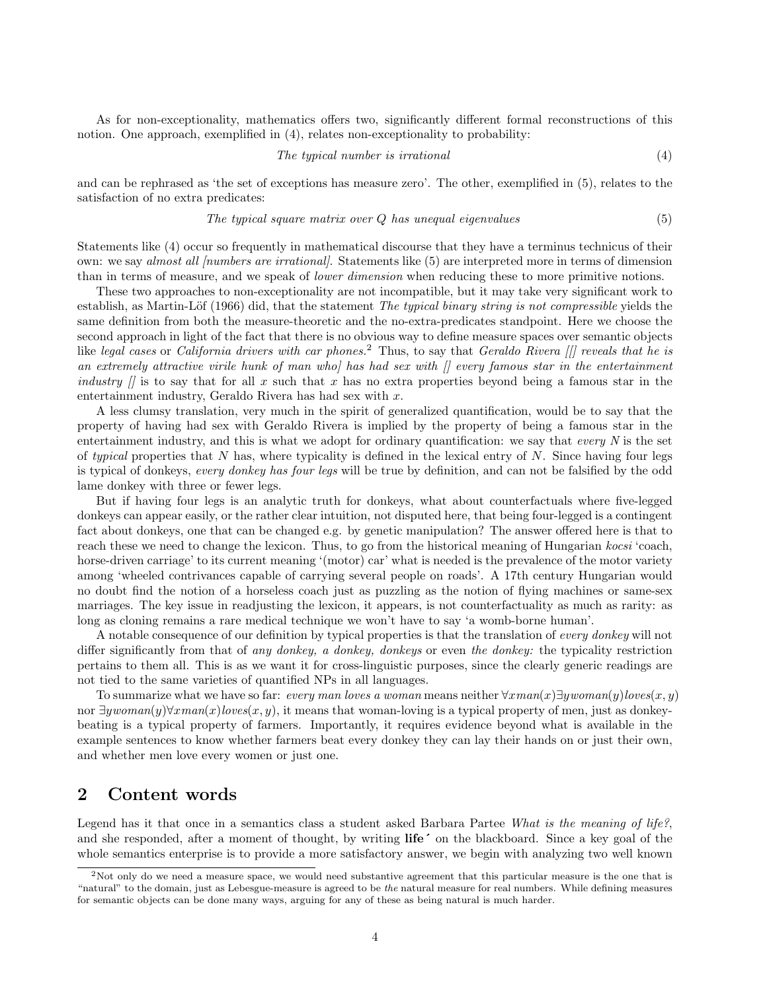As for non-exceptionality, mathematics offers two, significantly different formal reconstructions of this notion. One approach, exemplified in (4), relates non-exceptionality to probability:

$$
The typical number is irrational \tag{4}
$$

and can be rephrased as 'the set of exceptions has measure zero'. The other, exemplified in (5), relates to the satisfaction of no extra predicates:

$$
The typical square matrix over Q has unequal eigenvalues
$$
\n
$$
(5)
$$

Statements like (4) occur so frequently in mathematical discourse that they have a terminus technicus of their own: we say almost all *[numbers are irrational]*. Statements like (5) are interpreted more in terms of dimension than in terms of measure, and we speak of lower dimension when reducing these to more primitive notions.

These two approaches to non-exceptionality are not incompatible, but it may take very significant work to establish, as Martin-Löf (1966) did, that the statement The typical binary string is not compressible yields the same definition from both the measure-theoretic and the no-extra-predicates standpoint. Here we choose the second approach in light of the fact that there is no obvious way to define measure spaces over semantic objects like legal cases or California drivers with car phones.<sup>2</sup> Thus, to say that Geraldo Rivera [[] reveals that he is an extremely attractive virile hunk of man who has had sex with  $\beta$  every famous star in the entertainment industry  $\int$  is to say that for all x such that x has no extra properties beyond being a famous star in the entertainment industry, Geraldo Rivera has had sex with x.

A less clumsy translation, very much in the spirit of generalized quantification, would be to say that the property of having had sex with Geraldo Rivera is implied by the property of being a famous star in the entertainment industry, and this is what we adopt for ordinary quantification: we say that *every*  $N$  is the set of typical properties that N has, where typicality is defined in the lexical entry of N. Since having four legs is typical of donkeys, every donkey has four legs will be true by definition, and can not be falsified by the odd lame donkey with three or fewer legs.

But if having four legs is an analytic truth for donkeys, what about counterfactuals where five-legged donkeys can appear easily, or the rather clear intuition, not disputed here, that being four-legged is a contingent fact about donkeys, one that can be changed e.g. by genetic manipulation? The answer offered here is that to reach these we need to change the lexicon. Thus, to go from the historical meaning of Hungarian kocsi 'coach, horse-driven carriage' to its current meaning '(motor) car' what is needed is the prevalence of the motor variety among 'wheeled contrivances capable of carrying several people on roads'. A 17th century Hungarian would no doubt find the notion of a horseless coach just as puzzling as the notion of flying machines or same-sex marriages. The key issue in readjusting the lexicon, it appears, is not counterfactuality as much as rarity: as long as cloning remains a rare medical technique we won't have to say 'a womb-borne human'.

A notable consequence of our definition by typical properties is that the translation of every donkey will not differ significantly from that of any donkey, a donkey, donkeys or even the donkey: the typicality restriction pertains to them all. This is as we want it for cross-linguistic purposes, since the clearly generic readings are not tied to the same varieties of quantified NPs in all languages.

To summarize what we have so far: every man loves a woman means neither  $\forall x man(x) \exists y woman(y) loves(x, y)$ nor  $\exists ywoman(y)\forall xman(x)loves(x, y)$ , it means that woman-loving is a typical property of men, just as donkeybeating is a typical property of farmers. Importantly, it requires evidence beyond what is available in the example sentences to know whether farmers beat every donkey they can lay their hands on or just their own, and whether men love every women or just one.

### 2 Content words

Legend has it that once in a semantics class a student asked Barbara Partee What is the meaning of life?, and she responded, after a moment of thought, by writing life' on the blackboard. Since a key goal of the whole semantics enterprise is to provide a more satisfactory answer, we begin with analyzing two well known

<sup>&</sup>lt;sup>2</sup>Not only do we need a measure space, we would need substantive agreement that this particular measure is the one that is "natural" to the domain, just as Lebesgue-measure is agreed to be the natural measure for real numbers. While defining measures for semantic objects can be done many ways, arguing for any of these as being natural is much harder.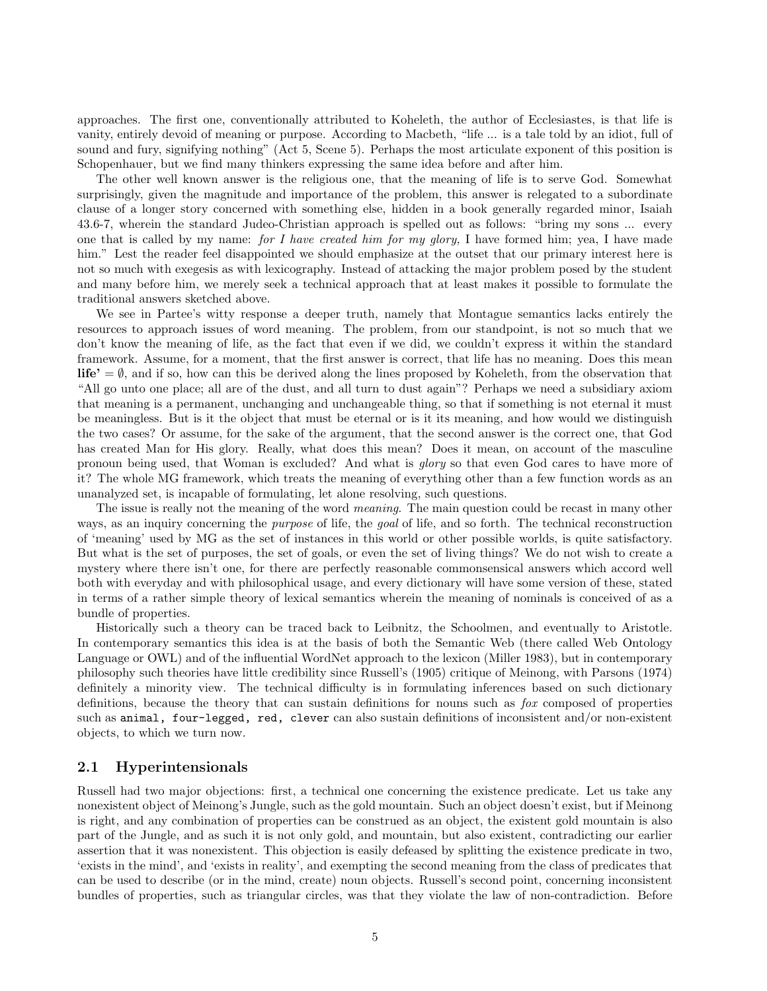approaches. The first one, conventionally attributed to Koheleth, the author of Ecclesiastes, is that life is vanity, entirely devoid of meaning or purpose. According to Macbeth, "life ... is a tale told by an idiot, full of sound and fury, signifying nothing" (Act 5, Scene 5). Perhaps the most articulate exponent of this position is Schopenhauer, but we find many thinkers expressing the same idea before and after him.

The other well known answer is the religious one, that the meaning of life is to serve God. Somewhat surprisingly, given the magnitude and importance of the problem, this answer is relegated to a subordinate clause of a longer story concerned with something else, hidden in a book generally regarded minor, Isaiah 43.6-7, wherein the standard Judeo-Christian approach is spelled out as follows: "bring my sons ... every one that is called by my name: for I have created him for my glory, I have formed him; yea, I have made him." Lest the reader feel disappointed we should emphasize at the outset that our primary interest here is not so much with exegesis as with lexicography. Instead of attacking the major problem posed by the student and many before him, we merely seek a technical approach that at least makes it possible to formulate the traditional answers sketched above.

We see in Partee's witty response a deeper truth, namely that Montague semantics lacks entirely the resources to approach issues of word meaning. The problem, from our standpoint, is not so much that we don't know the meaning of life, as the fact that even if we did, we couldn't express it within the standard framework. Assume, for a moment, that the first answer is correct, that life has no meaning. Does this mean **life'** =  $\emptyset$ , and if so, how can this be derived along the lines proposed by Koheleth, from the observation that "All go unto one place; all are of the dust, and all turn to dust again"? Perhaps we need a subsidiary axiom that meaning is a permanent, unchanging and unchangeable thing, so that if something is not eternal it must be meaningless. But is it the object that must be eternal or is it its meaning, and how would we distinguish the two cases? Or assume, for the sake of the argument, that the second answer is the correct one, that God has created Man for His glory. Really, what does this mean? Does it mean, on account of the masculine pronoun being used, that Woman is excluded? And what is glory so that even God cares to have more of it? The whole MG framework, which treats the meaning of everything other than a few function words as an unanalyzed set, is incapable of formulating, let alone resolving, such questions.

The issue is really not the meaning of the word *meaning*. The main question could be recast in many other ways, as an inquiry concerning the *purpose* of life, the *goal* of life, and so forth. The technical reconstruction of 'meaning' used by MG as the set of instances in this world or other possible worlds, is quite satisfactory. But what is the set of purposes, the set of goals, or even the set of living things? We do not wish to create a mystery where there isn't one, for there are perfectly reasonable commonsensical answers which accord well both with everyday and with philosophical usage, and every dictionary will have some version of these, stated in terms of a rather simple theory of lexical semantics wherein the meaning of nominals is conceived of as a bundle of properties.

Historically such a theory can be traced back to Leibnitz, the Schoolmen, and eventually to Aristotle. In contemporary semantics this idea is at the basis of both the Semantic Web (there called Web Ontology Language or OWL) and of the influential WordNet approach to the lexicon (Miller 1983), but in contemporary philosophy such theories have little credibility since Russell's (1905) critique of Meinong, with Parsons (1974) definitely a minority view. The technical difficulty is in formulating inferences based on such dictionary definitions, because the theory that can sustain definitions for nouns such as fox composed of properties such as animal, four-legged, red, clever can also sustain definitions of inconsistent and/or non-existent objects, to which we turn now.

### 2.1 Hyperintensionals

Russell had two major objections: first, a technical one concerning the existence predicate. Let us take any nonexistent object of Meinong's Jungle, such as the gold mountain. Such an object doesn't exist, but if Meinong is right, and any combination of properties can be construed as an object, the existent gold mountain is also part of the Jungle, and as such it is not only gold, and mountain, but also existent, contradicting our earlier assertion that it was nonexistent. This objection is easily defeased by splitting the existence predicate in two, 'exists in the mind', and 'exists in reality', and exempting the second meaning from the class of predicates that can be used to describe (or in the mind, create) noun objects. Russell's second point, concerning inconsistent bundles of properties, such as triangular circles, was that they violate the law of non-contradiction. Before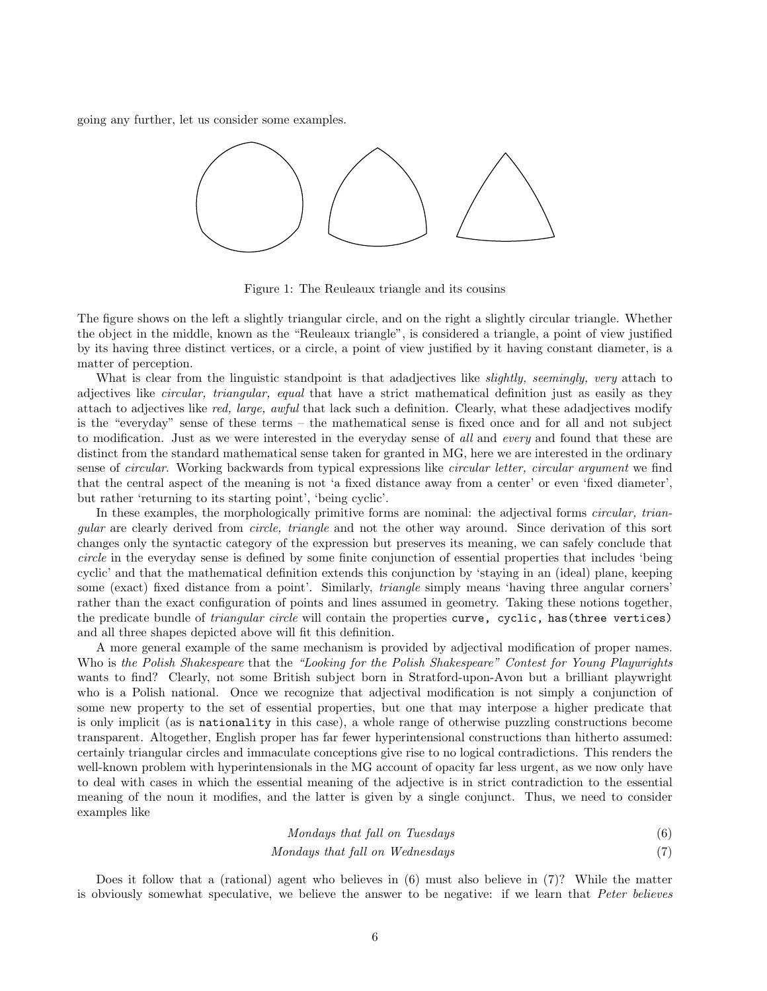going any further, let us consider some examples.



Figure 1: The Reuleaux triangle and its cousins

The figure shows on the left a slightly triangular circle, and on the right a slightly circular triangle. Whether the object in the middle, known as the "Reuleaux triangle", is considered a triangle, a point of view justified by its having three distinct vertices, or a circle, a point of view justified by it having constant diameter, is a matter of perception.

What is clear from the linguistic standpoint is that adadjectives like *slightly, seemingly, very* attach to adjectives like circular, triangular, equal that have a strict mathematical definition just as easily as they attach to adjectives like red, large, awful that lack such a definition. Clearly, what these adadjectives modify is the "everyday" sense of these terms – the mathematical sense is fixed once and for all and not subject to modification. Just as we were interested in the everyday sense of all and every and found that these are distinct from the standard mathematical sense taken for granted in MG, here we are interested in the ordinary sense of *circular*. Working backwards from typical expressions like *circular letter, circular argument* we find that the central aspect of the meaning is not 'a fixed distance away from a center' or even 'fixed diameter', but rather 'returning to its starting point', 'being cyclic'.

In these examples, the morphologically primitive forms are nominal: the adjectival forms *circular*, triangular are clearly derived from circle, triangle and not the other way around. Since derivation of this sort changes only the syntactic category of the expression but preserves its meaning, we can safely conclude that circle in the everyday sense is defined by some finite conjunction of essential properties that includes 'being cyclic' and that the mathematical definition extends this conjunction by 'staying in an (ideal) plane, keeping some (exact) fixed distance from a point'. Similarly, triangle simply means 'having three angular corners' rather than the exact configuration of points and lines assumed in geometry. Taking these notions together, the predicate bundle of *triangular circle* will contain the properties curve, cyclic, has (three vertices) and all three shapes depicted above will fit this definition.

A more general example of the same mechanism is provided by adjectival modification of proper names. Who is the Polish Shakespeare that the "Looking for the Polish Shakespeare" Contest for Young Playwrights wants to find? Clearly, not some British subject born in Stratford-upon-Avon but a brilliant playwright who is a Polish national. Once we recognize that adjectival modification is not simply a conjunction of some new property to the set of essential properties, but one that may interpose a higher predicate that is only implicit (as is nationality in this case), a whole range of otherwise puzzling constructions become transparent. Altogether, English proper has far fewer hyperintensional constructions than hitherto assumed: certainly triangular circles and immaculate conceptions give rise to no logical contradictions. This renders the well-known problem with hyperintensionals in the MG account of opacity far less urgent, as we now only have to deal with cases in which the essential meaning of the adjective is in strict contradiction to the essential meaning of the noun it modifies, and the latter is given by a single conjunct. Thus, we need to consider examples like

$$
Mondays that fall on Tuesdays
$$
\n
$$
(6)
$$

### Mondays that fall on Wednesdays (7)

Does it follow that a (rational) agent who believes in (6) must also believe in (7)? While the matter is obviously somewhat speculative, we believe the answer to be negative: if we learn that Peter believes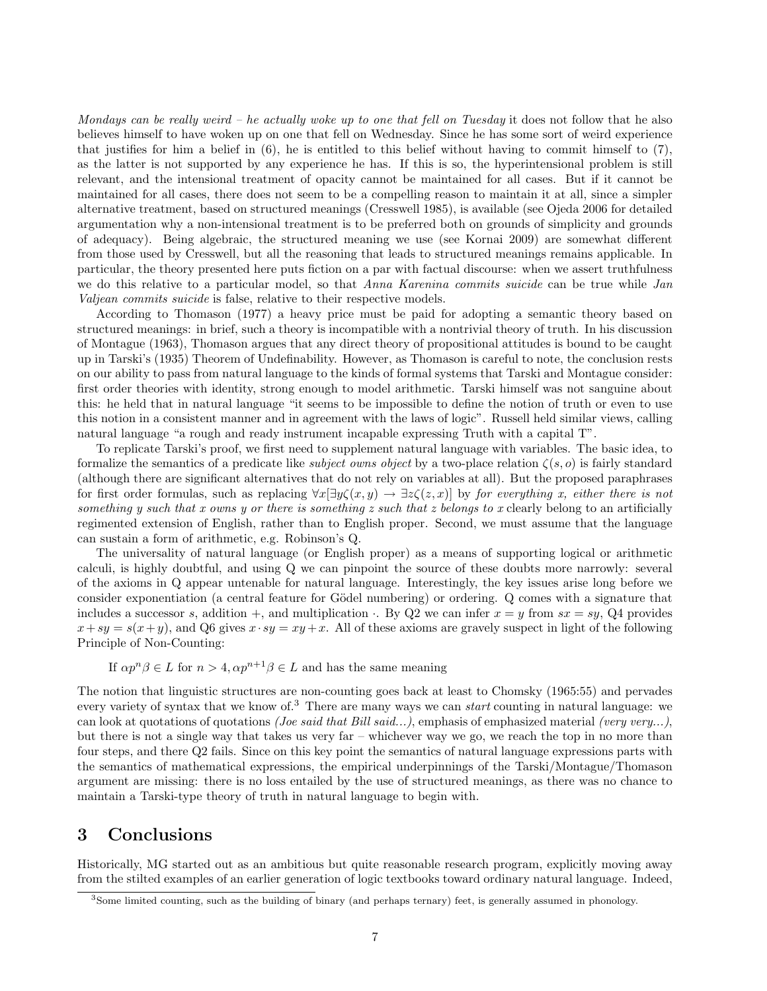Mondays can be really weird – he actually woke up to one that fell on Tuesday it does not follow that he also believes himself to have woken up on one that fell on Wednesday. Since he has some sort of weird experience that justifies for him a belief in  $(6)$ , he is entitled to this belief without having to commit himself to  $(7)$ , as the latter is not supported by any experience he has. If this is so, the hyperintensional problem is still relevant, and the intensional treatment of opacity cannot be maintained for all cases. But if it cannot be maintained for all cases, there does not seem to be a compelling reason to maintain it at all, since a simpler alternative treatment, based on structured meanings (Cresswell 1985), is available (see Ojeda 2006 for detailed argumentation why a non-intensional treatment is to be preferred both on grounds of simplicity and grounds of adequacy). Being algebraic, the structured meaning we use (see Kornai 2009) are somewhat different from those used by Cresswell, but all the reasoning that leads to structured meanings remains applicable. In particular, the theory presented here puts fiction on a par with factual discourse: when we assert truthfulness we do this relative to a particular model, so that Anna Karenina commits suicide can be true while Jan Valjean commits suicide is false, relative to their respective models.

According to Thomason (1977) a heavy price must be paid for adopting a semantic theory based on structured meanings: in brief, such a theory is incompatible with a nontrivial theory of truth. In his discussion of Montague (1963), Thomason argues that any direct theory of propositional attitudes is bound to be caught up in Tarski's (1935) Theorem of Undefinability. However, as Thomason is careful to note, the conclusion rests on our ability to pass from natural language to the kinds of formal systems that Tarski and Montague consider: first order theories with identity, strong enough to model arithmetic. Tarski himself was not sanguine about this: he held that in natural language "it seems to be impossible to define the notion of truth or even to use this notion in a consistent manner and in agreement with the laws of logic". Russell held similar views, calling natural language "a rough and ready instrument incapable expressing Truth with a capital T".

To replicate Tarski's proof, we first need to supplement natural language with variables. The basic idea, to formalize the semantics of a predicate like *subject owns object* by a two-place relation  $\zeta(s, o)$  is fairly standard (although there are significant alternatives that do not rely on variables at all). But the proposed paraphrases for first order formulas, such as replacing  $\forall x \exists y \zeta(x, y) \rightarrow \exists z \zeta(z, x)$  by for everything x, either there is not something y such that x owns y or there is something z such that z belongs to x clearly belong to an artificially regimented extension of English, rather than to English proper. Second, we must assume that the language can sustain a form of arithmetic, e.g. Robinson's Q.

The universality of natural language (or English proper) as a means of supporting logical or arithmetic calculi, is highly doubtful, and using Q we can pinpoint the source of these doubts more narrowly: several of the axioms in Q appear untenable for natural language. Interestingly, the key issues arise long before we consider exponentiation (a central feature for Gödel numbering) or ordering. Q comes with a signature that includes a successor s, addition +, and multiplication  $\cdot$ . By Q2 we can infer  $x = y$  from  $sx = sy$ , Q4 provides  $x+sy = s(x+y)$ , and Q6 gives  $x \cdot sy = xy + x$ . All of these axioms are gravely suspect in light of the following Principle of Non-Counting:

If  $\alpha p^n \beta \in L$  for  $n > 4$ ,  $\alpha p^{n+1} \beta \in L$  and has the same meaning

The notion that linguistic structures are non-counting goes back at least to Chomsky (1965:55) and pervades every variety of syntax that we know of.<sup>3</sup> There are many ways we can start counting in natural language: we can look at quotations of quotations (*Joe said that Bill said...*), emphasis of emphasized material (very very...), but there is not a single way that takes us very far – whichever way we go, we reach the top in no more than four steps, and there Q2 fails. Since on this key point the semantics of natural language expressions parts with the semantics of mathematical expressions, the empirical underpinnings of the Tarski/Montague/Thomason argument are missing: there is no loss entailed by the use of structured meanings, as there was no chance to maintain a Tarski-type theory of truth in natural language to begin with.

# 3 Conclusions

Historically, MG started out as an ambitious but quite reasonable research program, explicitly moving away from the stilted examples of an earlier generation of logic textbooks toward ordinary natural language. Indeed,

<sup>3</sup>Some limited counting, such as the building of binary (and perhaps ternary) feet, is generally assumed in phonology.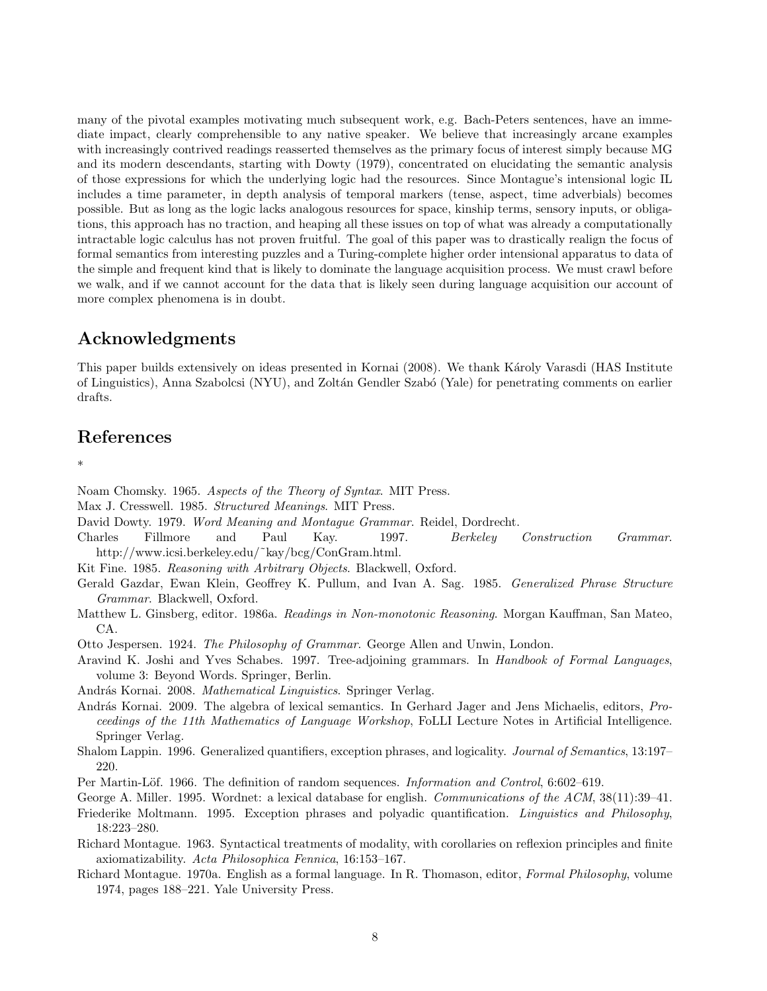many of the pivotal examples motivating much subsequent work, e.g. Bach-Peters sentences, have an immediate impact, clearly comprehensible to any native speaker. We believe that increasingly arcane examples with increasingly contrived readings reasserted themselves as the primary focus of interest simply because MG and its modern descendants, starting with Dowty (1979), concentrated on elucidating the semantic analysis of those expressions for which the underlying logic had the resources. Since Montague's intensional logic IL includes a time parameter, in depth analysis of temporal markers (tense, aspect, time adverbials) becomes possible. But as long as the logic lacks analogous resources for space, kinship terms, sensory inputs, or obligations, this approach has no traction, and heaping all these issues on top of what was already a computationally intractable logic calculus has not proven fruitful. The goal of this paper was to drastically realign the focus of formal semantics from interesting puzzles and a Turing-complete higher order intensional apparatus to data of the simple and frequent kind that is likely to dominate the language acquisition process. We must crawl before we walk, and if we cannot account for the data that is likely seen during language acquisition our account of more complex phenomena is in doubt.

# Acknowledgments

This paper builds extensively on ideas presented in Kornai (2008). We thank Károly Varasdi (HAS Institute of Linguistics), Anna Szabolcsi (NYU), and Zolt´an Gendler Szab´o (Yale) for penetrating comments on earlier drafts.

### References

\*

Noam Chomsky. 1965. Aspects of the Theory of Syntax. MIT Press.

- Max J. Cresswell. 1985. Structured Meanings. MIT Press.
- David Dowty. 1979. Word Meaning and Montague Grammar. Reidel, Dordrecht.
- Charles Fillmore and Paul Kay. 1997. Berkeley Construction Grammar. http://www.icsi.berkeley.edu/˜kay/bcg/ConGram.html.
- Kit Fine. 1985. Reasoning with Arbitrary Objects. Blackwell, Oxford.
- Gerald Gazdar, Ewan Klein, Geoffrey K. Pullum, and Ivan A. Sag. 1985. Generalized Phrase Structure Grammar. Blackwell, Oxford.
- Matthew L. Ginsberg, editor. 1986a. Readings in Non-monotonic Reasoning. Morgan Kauffman, San Mateo, CA.
- Otto Jespersen. 1924. The Philosophy of Grammar. George Allen and Unwin, London.
- Aravind K. Joshi and Yves Schabes. 1997. Tree-adjoining grammars. In Handbook of Formal Languages, volume 3: Beyond Words. Springer, Berlin.

András Kornai. 2008. Mathematical Linguistics. Springer Verlag.

- András Kornai. 2009. The algebra of lexical semantics. In Gerhard Jager and Jens Michaelis, editors, *Pro*ceedings of the 11th Mathematics of Language Workshop, FoLLI Lecture Notes in Artificial Intelligence. Springer Verlag.
- Shalom Lappin. 1996. Generalized quantifiers, exception phrases, and logicality. Journal of Semantics, 13:197– 220.
- Per Martin-Löf. 1966. The definition of random sequences. *Information and Control*, 6:602–619.
- George A. Miller. 1995. Wordnet: a lexical database for english. Communications of the ACM, 38(11):39–41. Friederike Moltmann. 1995. Exception phrases and polyadic quantification. Linguistics and Philosophy, 18:223–280.
- Richard Montague. 1963. Syntactical treatments of modality, with corollaries on reflexion principles and finite axiomatizability. Acta Philosophica Fennica, 16:153–167.
- Richard Montague. 1970a. English as a formal language. In R. Thomason, editor, Formal Philosophy, volume 1974, pages 188–221. Yale University Press.